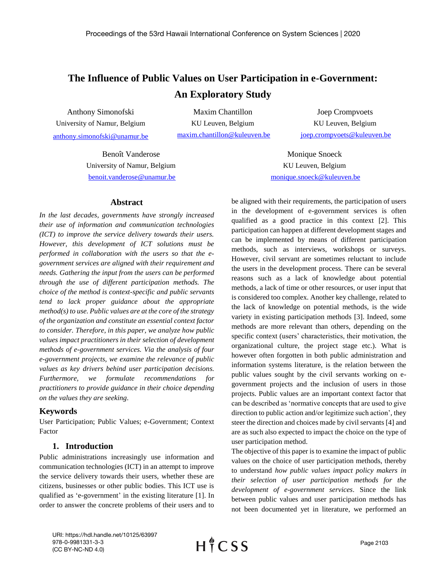# **The Influence of Public Values on User Participation in e-Government: An Exploratory Study**

Anthony Simonofski University of Namur, Belgium [anthony.simonofski@unamur.be](mailto:anthony.simonofski@unamur.be) 

Maxim Chantillon KU Leuven, Belgium [maxim.chantillon@kuleuven.be](mailto:maxim.chantillon@kuleuven.be)

Joep Crompvoets KU Leuven, Belgium [joep.crompvoets@kuleuven.be](mailto:joep.crompvoets@kuleuven.be)

Benoît Vanderose University of Namur, Belgium [benoit.vanderose@unamur.be](mailto:benoit.vanderose@unamur.be)

### **Abstract**

*In the last decades, governments have strongly increased their use of information and communication technologies (ICT) to improve the service delivery towards their users. However, this development of ICT solutions must be performed in collaboration with the users so that the egovernment services are aligned with their requirement and needs. Gathering the input from the users can be performed through the use of different participation methods. The choice of the method is context-specific and public servants tend to lack proper guidance about the appropriate method(s) to use. Public values are at the core of the strategy of the organization and constitute an essential context factor to consider. Therefore, in this paper, we analyze how public values impact practitioners in their selection of development methods of e-government services. Via the analysis of four e-government projects, we examine the relevance of public values as key drivers behind user participation decisions. Furthermore, we formulate recommendations for practitioners to provide guidance in their choice depending on the values they are seeking.*

# **Keywords**

User Participation; Public Values; e-Government; Context Factor

### **1. Introduction**

Public administrations increasingly use information and communication technologies (ICT) in an attempt to improve the service delivery towards their users, whether these are citizens, businesses or other public bodies. This ICT use is qualified as 'e-government' in the existing literature [1]. In order to answer the concrete problems of their users and to

Monique Snoeck KU Leuven, Belgium [monique.snoeck@kuleuven.be](mailto:monique.snoeck@kuleuven.be)

be aligned with their requirements, the participation of users in the development of e-government services is often qualified as a good practice in this context [2]. This participation can happen at different development stages and can be implemented by means of different participation methods, such as interviews, workshops or surveys. However, civil servant are sometimes reluctant to include the users in the development process. There can be several reasons such as a lack of knowledge about potential methods, a lack of time or other resources, or user input that is considered too complex. Another key challenge, related to the lack of knowledge on potential methods, is the wide variety in existing participation methods [3]. Indeed, some methods are more relevant than others, depending on the specific context (users' characteristics, their motivation, the organizational culture, the project stage etc.). What is however often forgotten in both public administration and information systems literature, is the relation between the public values sought by the civil servants working on egovernment projects and the inclusion of users in those projects. Public values are an important context factor that can be described as 'normative concepts that are used to give direction to public action and/or legitimize such action', they steer the direction and choices made by civil servants [4] and are as such also expected to impact the choice on the type of user participation method.

The objective of this paper is to examine the impact of public values on the choice of user participation methods, thereby to understand *how public values impact policy makers in their selection of user participation methods for the development of e-government services*. Since the link between public values and user participation methods has not been documented yet in literature, we performed an

URI: https://hdl.handle.net/10125/63997 978-0-9981331-3-3 (CC BY-NC-ND 4.0)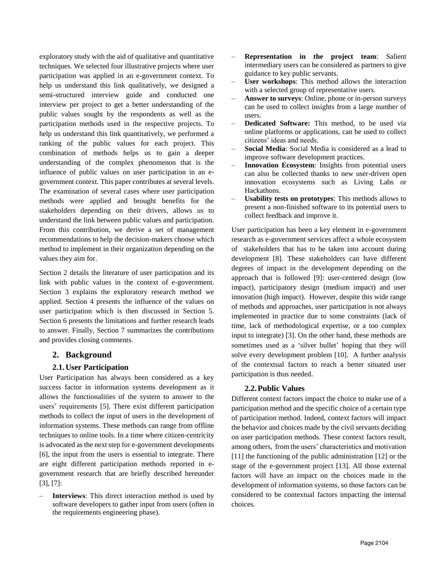exploratory study with the aid of qualitative and quantitative techniques. We selected four illustrative projects where user participation was applied in an e-government context. To help us understand this link qualitatively, we designed a semi-structured interview guide and conducted one interview per project to get a better understanding of the public values sought by the respondents as well as the participation methods used in the respective projects. To help us understand this link quantitatively, we performed a ranking of the public values for each project. This combination of methods helps us to gain a deeper understanding of the complex phenomenon that is the influence of public values on user participation in an egovernment context. This paper contributes at several levels. The examination of several cases where user participation methods were applied and brought benefits for the stakeholders depending on their drivers, allows us to understand the link between public values and participation. From this contribution, we derive a set of management recommendations to help the decision-makers choose which method to implement in their organization depending on the values they aim for.

Section 2 details the literature of user participation and its link with public values in the context of e-government. Section 3 explains the exploratory research method we applied. Section 4 presents the influence of the values on user participation which is then discussed in Section 5. Section 6 presents the limitations and further research leads to answer. Finally, Section 7 summarizes the contributions and provides closing comments.

# **2. Background**

# **2.1.User Participation**

User Participation has always been considered as a key success factor in information systems development as it allows the functionalities of the system to answer to the users' requirements [5]. There exist different participation methods to collect the input of users in the development of information systems. These methods can range from offline techniques to online tools. In a time where citizen-centricity is advocated as the next step for e-government developments [6], the input from the users is essential to integrate. There are eight different participation methods reported in egovernment research that are briefly described hereunder [3], [7]:

– **Interviews**: This direct interaction method is used by software developers to gather input from users (often in the requirements engineering phase).

- **Representation in the project team**: Salient intermediary users can be considered as partners to give guidance to key public servants.
- **User workshops**: This method allows the interaction with a selected group of representative users.
- **Answer to surveys**: Online, phone or in-person surveys can be used to collect insights from a large number of users.
- **Dedicated Software:** This method, to be used via online platforms or applications, can be used to collect citizens' ideas and needs.
- **Social Media**: Social Media is considered as a lead to improve software development practices.
- **Innovation Ecosystem**: Insights from potential users can also be collected thanks to new user-driven open innovation ecosystems such as Living Labs or Hackathons.
- **Usability tests on prototypes**: This methods allows to present a non-finished software to its potential users to collect feedback and improve it.

User participation has been a key element in e-government research as e-government services affect a whole ecosystem of stakeholders that has to be taken into account during development [8]. These stakeholders can have different degrees of impact in the development depending on the approach that is followed [9]: user-centered design (low impact), participatory design (medium impact) and user innovation (high impact). However, despite this wide range of methods and approaches, user participation is not always implemented in practice due to some constraints (lack of time, lack of methodological expertise, or a too complex input to integrate) [3]. On the other hand, these methods are sometimes used as a 'silver bullet' hoping that they will solve every development problem [10]. A further analysis of the contextual factors to reach a better situated user participation is thus needed.

# **2.2.Public Values**

Different context factors impact the choice to make use of a participation method and the specific choice of a certain type of participation method. Indeed, context factors will impact the behavior and choices made by the civil servants deciding on user participation methods. These context factors result, among others, from the users' characteristics and motivation [11] the functioning of the public administration [12] or the stage of the e-government project [13]. All those external factors will have an impact on the choices made in the development of information systems, so those factors can be considered to be contextual factors impacting the internal choices.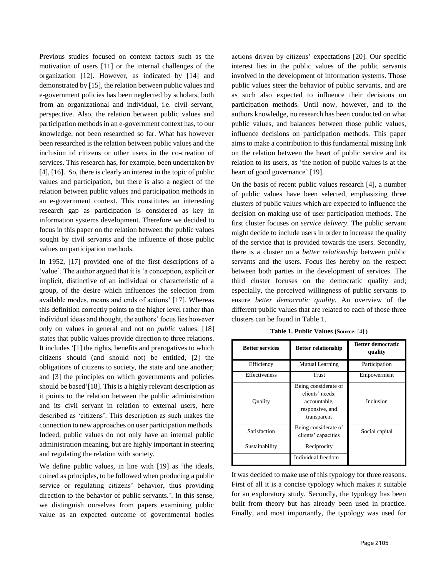Previous studies focused on context factors such as the motivation of users [11] or the internal challenges of the organization [12]. However, as indicated by [14] and demonstrated by [15], the relation between public values and e-government policies has been neglected by scholars, both from an organizational and individual, i.e. civil servant, perspective. Also, the relation between public values and participation methods in an e-government context has, to our knowledge, not been researched so far. What has however been researched is the relation between public values and the inclusion of citizens or other users in the co-creation of services. This research has, for example, been undertaken by [4], [16]. So, there is clearly an interest in the topic of public values and participation, but there is also a neglect of the relation between public values and participation methods in an e-government context. This constitutes an interesting research gap as participation is considered as key in information systems development. Therefore we decided to focus in this paper on the relation between the public values sought by civil servants and the influence of those public values on participation methods.

In 1952, [17] provided one of the first descriptions of a 'value'. The author argued that it is 'a conception, explicit or implicit, distinctive of an individual or characteristic of a group, of the desire which influences the selection from available modes, means and ends of actions' [17]. Whereas this definition correctly points to the higher level rather than individual ideas and thought, the authors' focus lies however only on values in general and not on *public* values. [18] states that public values provide direction to three relations. It includes '[1] the rights, benefits and prerogatives to which citizens should (and should not) be entitled, [2] the obligations of citizens to society, the state and one another; and [3] the principles on which governments and policies should be based'[18]. This is a highly relevant description as it points to the relation between the public administration and its civil servant in relation to external users, here described as 'citizens'. This description as such makes the connection to new approaches on user participation methods. Indeed, public values do not only have an internal public administration meaning, but are highly important in steering and regulating the relation with society.

We define public values, in line with [19] as 'the ideals, coined as principles, to be followed when producing a public service or regulating citizens' behavior, thus providing direction to the behavior of public servants.'. In this sense, we distinguish ourselves from papers examining public value as an expected outcome of governmental bodies

actions driven by citizens' expectations [20]. Our specific interest lies in the public values of the public servants involved in the development of information systems. Those public values steer the behavior of public servants, and are as such also expected to influence their decisions on participation methods. Until now, however, and to the authors knowledge, no research has been conducted on what public values, and balances between those public values, influence decisions on participation methods. This paper aims to make a contribution to this fundamental missing link on the relation between the heart of public service and its relation to its users, as 'the notion of public values is at the heart of good governance' [19].

On the basis of recent public values research [4], a number of public values have been selected, emphasizing three clusters of public values which are expected to influence the decision on making use of user participation methods. The first cluster focuses on *service delivery*. The public servant might decide to include users in order to increase the quality of the service that is provided towards the users. Secondly, there is a cluster on a *better relationship* between public servants and the users. Focus lies hereby on the respect between both parties in the development of services. The third cluster focuses on the democratic quality and; especially, the perceived willingness of public servants to ensure *better democratic quality*. An overview of the different public values that are related to each of those three clusters can be found in Table 1.

| <b>Better services</b> | <b>Better relationship</b>                                                                | <b>Better democratic</b><br>quality |  |
|------------------------|-------------------------------------------------------------------------------------------|-------------------------------------|--|
| Efficiency             | <b>Mutual Learning</b>                                                                    | Participation                       |  |
| <b>Effectiveness</b>   | Trust                                                                                     | Empowerment                         |  |
| Quality                | Being considerate of<br>clients' needs:<br>accountable,<br>responsive, and<br>transparent | Inclusion                           |  |
| Satisfaction           | Being considerate of<br>clients' capacities                                               | Social capital                      |  |
| Sustainability         | Reciprocity                                                                               |                                     |  |
|                        | Individual freedom                                                                        |                                     |  |

**Table 1. Public Values (Source:** [4] **)**

It was decided to make use of this typology for three reasons. First of all it is a concise typology which makes it suitable for an exploratory study. Secondly, the typology has been built from theory but has already been used in practice. Finally, and most importantly, the typology was used for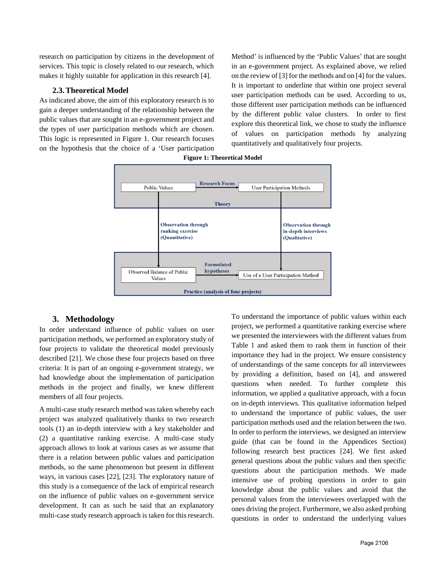research on participation by citizens in the development of services. This topic is closely related to our research, which makes it highly suitable for application in this research [4].

# **2.3.Theoretical Model**

As indicated above, the aim of this exploratory research is to gain a deeper understanding of the relationship between the public values that are sought in an e-government project and the types of user participation methods which are chosen. This logic is represented in Figure 1. Our research focuses on the hypothesis that the choice of a 'User participation

Method' is influenced by the 'Public Values' that are sought in an e-government project. As explained above, we relied on the review of [3] for the methods and on [4] for the values. It is important to underline that within one project several user participation methods can be used. According to us, those different user participation methods can be influenced by the different public value clusters. In order to first explore this theoretical link, we chose to study the influence of values on participation methods by analyzing quantitatively and qualitatively four projects.



**Figure 1: Theoretical Model** 

# **3. Methodology**

In order understand influence of public values on user participation methods, we performed an exploratory study of four projects to validate the theoretical model previously described [21]. We chose these four projects based on three criteria: It is part of an ongoing e-government strategy, we had knowledge about the implementation of participation methods in the project and finally, we knew different members of all four projects.

A multi-case study research method was taken whereby each project was analyzed qualitatively thanks to two research tools (1) an in-depth interview with a key stakeholder and (2) a quantitative ranking exercise. A multi-case study approach allows to look at various cases as we assume that there is a relation between public values and participation methods, so the same phenomenon but present in different ways, in various cases [22], [23]. The exploratory nature of this study is a consequence of the lack of empirical research on the influence of public values on e-government service development. It can as such be said that an explanatory multi-case study research approach is taken for this research.

To understand the importance of public values within each project, we performed a quantitative ranking exercise where we presented the interviewees with the different values from Table 1 and asked them to rank them in function of their importance they had in the project. We ensure consistency of understandings of the same concepts for all interviewees by providing a definition, based on [4], and answered questions when needed. To further complete this information, we applied a qualitative approach, with a focus on in-depth interviews. This qualitative information helped to understand the importance of public values, the user participation methods used and the relation between the two. In order to perform the interviews, we designed an interview guide (that can be found in the Appendices Section) following research best practices [24]. We first asked general questions about the public values and then specific questions about the participation methods. We made intensive use of probing questions in order to gain knowledge about the public values and avoid that the personal values from the interviewees overlapped with the ones driving the project. Furthermore, we also asked probing questions in order to understand the underlying values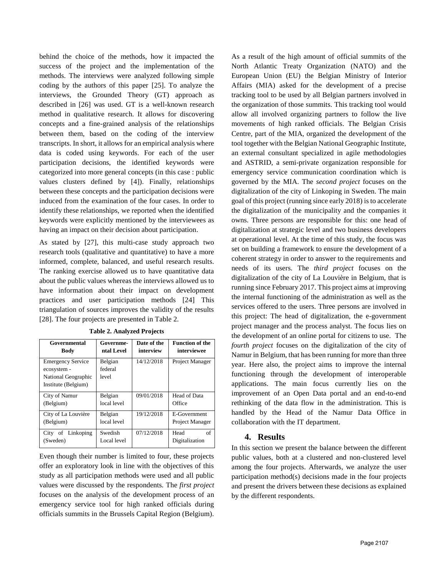behind the choice of the methods, how it impacted the success of the project and the implementation of the methods. The interviews were analyzed following simple coding by the authors of this paper [25]. To analyze the interviews, the Grounded Theory (GT) approach as described in [26] was used. GT is a well-known research method in qualitative research. It allows for discovering concepts and a fine-grained analysis of the relationships between them, based on the coding of the interview transcripts. In short, it allows for an empirical analysis where data is coded using keywords. For each of the user participation decisions, the identified keywords were categorized into more general concepts (in this case : public values clusters defined by [4]). Finally, relationships between these concepts and the participation decisions were induced from the examination of the four cases. In order to identify these relationships, we reported when the identified keywords were explicitly mentioned by the interviewees as having an impact on their decision about participation.

As stated by [27], this multi-case study approach two research tools (qualitative and quantitative) to have a more informed, complete, balanced, and useful research results. The ranking exercise allowed us to have quantitative data about the public values whereas the interviews allowed us to have information about their impact on development practices and user participation methods [24] This triangulation of sources improves the validity of the results [28]. The four projects are presented in Table 2.

| Governmental                                                                          | Governme-                   | Date of the | <b>Function of the</b>       |
|---------------------------------------------------------------------------------------|-----------------------------|-------------|------------------------------|
| <b>Body</b>                                                                           | ntal Level                  | interview   | interviewee                  |
| <b>Emergency Service</b><br>ecosystem -<br>National Geographic<br>Institute (Belgium) | Belgian<br>federal<br>level | 14/12/2018  | Project Manager              |
| City of Namur                                                                         | Belgian                     | 09/01/2018  | Head of Data                 |
| (Belgium)                                                                             | local level                 |             | Office                       |
| City of La Louvière                                                                   | Belgian                     | 19/12/2018  | E-Government                 |
| (Belgium)                                                                             | local level                 |             | Project Manager              |
| of Linkoping<br>City<br>(Sweden)                                                      | Swedish<br>Local level      | 07/12/2018  | of<br>Head<br>Digitalization |

**Table 2. Analyzed Projects**

Even though their number is limited to four, these projects offer an exploratory look in line with the objectives of this study as all participation methods were used and all public values were discussed by the respondents. The *first project* focuses on the analysis of the development process of an emergency service tool for high ranked officials during officials summits in the Brussels Capital Region (Belgium).

As a result of the high amount of official summits of the North Atlantic Treaty Organization (NATO) and the European Union (EU) the Belgian Ministry of Interior Affairs (MIA) asked for the development of a precise tracking tool to be used by all Belgian partners involved in the organization of those summits. This tracking tool would allow all involved organizing partners to follow the live movements of high ranked officials. The Belgian Crisis Centre, part of the MIA, organized the development of the tool together with the Belgian National Geographic Institute, an external consultant specialized in agile methodologies and ASTRID, a semi-private organization responsible for emergency service communication coordination which is governed by the MIA. The *second project* focuses on the digitalization of the city of Linkoping in Sweden. The main goal of this project (running since early 2018) is to accelerate the digitalization of the municipality and the companies it owns. Three persons are responsible for this: one head of digitalization at strategic level and two business developers at operational level. At the time of this study, the focus was set on building a framework to ensure the development of a coherent strategy in order to answer to the requirements and needs of its users. The *third project* focuses on the digitalization of the city of La Louvière in Belgium, that is running since February 2017. This project aims at improving the internal functioning of the administration as well as the services offered to the users. Three persons are involved in this project: The head of digitalization, the e-government project manager and the process analyst. The focus lies on the development of an online portal for citizens to use. The *fourth project* focuses on the digitalization of the city of Namur in Belgium, that has been running for more than three year. Here also, the project aims to improve the internal functioning through the development of interoperable applications. The main focus currently lies on the improvement of an Open Data portal and an end-to-end rethinking of the data flow in the administration. This is handled by the Head of the Namur Data Office in collaboration with the IT department.

# **4. Results**

In this section we present the balance between the different public values, both at a clustered and non-clustered level among the four projects. Afterwards, we analyze the user participation method(s) decisions made in the four projects and present the drivers between these decisions as explained by the different respondents.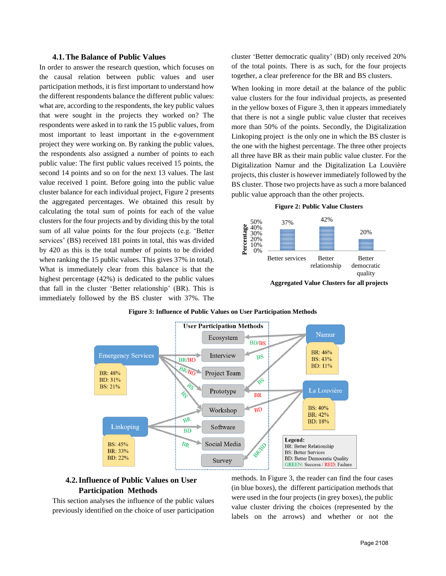#### **4.1.The Balance of Public Values**

In order to answer the research question, which focuses on the causal relation between public values and user participation methods, it is first important to understand how the different respondents balance the different public values: what are, according to the respondents, the key public values that were sought in the projects they worked on? The respondents were asked in to rank the 15 public values, from most important to least important in the e-government project they were working on. By ranking the public values, the respondents also assigned a number of points to each public value: The first public values received 15 points, the second 14 points and so on for the next 13 values. The last value received 1 point. Before going into the public value cluster balance for each individual project, Figure 2 presents the aggregated percentages. We obtained this result by calculating the total sum of points for each of the value clusters for the four projects and by dividing this by the total sum of all value points for the four projects (e.g. 'Better services' (BS) received 181 points in total, this was divided by 420 as this is the total number of points to be divided when ranking the 15 public values. This gives 37% in total). What is immediately clear from this balance is that the highest percentage (42%) is dedicated to the public values that fall in the cluster 'Better relationship' (BR). This is immediately followed by the BS cluster with 37%. The cluster 'Better democratic quality' (BD) only received 20% of the total points. There is as such, for the four projects together, a clear preference for the BR and BS clusters.

When looking in more detail at the balance of the public value clusters for the four individual projects, as presented in the yellow boxes of Figure 3, then it appears immediately that there is not a single public value cluster that receives more than 50% of the points. Secondly, the Digitalization Linkoping project is the only one in which the BS cluster is the one with the highest percentage. The three other projects all three have BR as their main public value cluster. For the Digitalization Namur and the Digitalization La Louvière projects, this cluster is however immediately followed by the BS cluster. Those two projects have as such a more balanced public value approach than the other projects.

#### **Figure 2: Public Value Clusters**





### **Figure 3: Influence of Public Values on User Participation Methods**

# **4.2.Influence of Public Values on User Participation Methods**

This section analyses the influence of the public values previously identified on the choice of user participation methods. In Figure 3, the reader can find the four cases (in blue boxes), the different participation methods that were used in the four projects (in grey boxes), the public value cluster driving the choices (represented by the labels on the arrows) and whether or not the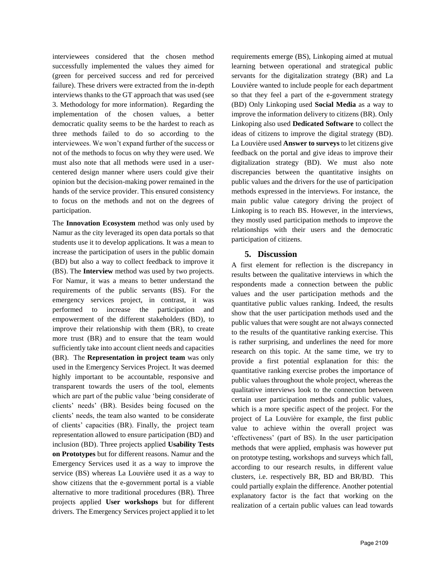interviewees considered that the chosen method successfully implemented the values they aimed for (green for perceived success and red for perceived failure). These drivers were extracted from the in-depth interviews thanks to the GT approach that was used (see 3. Methodology for more information). Regarding the implementation of the chosen values, a better democratic quality seems to be the hardest to reach as three methods failed to do so according to the interviewees. We won't expand further of the success or not of the methods to focus on why they were used. We must also note that all methods were used in a usercentered design manner where users could give their opinion but the decision-making power remained in the hands of the service provider. This ensured consistency to focus on the methods and not on the degrees of participation.

The **Innovation Ecosystem** method was only used by Namur as the city leveraged its open data portals so that students use it to develop applications. It was a mean to increase the participation of users in the public domain (BD) but also a way to collect feedback to improve it (BS). The **Interview** method was used by two projects. For Namur, it was a means to better understand the requirements of the public servants (BS). For the emergency services project, in contrast, it was performed to increase the participation and empowerment of the different stakeholders (BD), to improve their relationship with them (BR), to create more trust (BR) and to ensure that the team would sufficiently take into account client needs and capacities (BR). The **Representation in project team** was only used in the Emergency Services Project. It was deemed highly important to be accountable, responsive and transparent towards the users of the tool, elements which are part of the public value 'being considerate of clients' needs' (BR). Besides being focused on the clients' needs, the team also wanted to be considerate of clients' capacities (BR). Finally, the project team representation allowed to ensure participation (BD) and inclusion (BD). Three projects applied **Usability Tests on Prototypes** but for different reasons. Namur and the Emergency Services used it as a way to improve the service (BS) whereas La Louvière used it as a way to show citizens that the e-government portal is a viable alternative to more traditional procedures (BR). Three projects applied **User workshops** but for different drivers. The Emergency Services project applied it to let requirements emerge (BS), Linkoping aimed at mutual learning between operational and strategical public servants for the digitalization strategy (BR) and La Louvière wanted to include people for each department so that they feel a part of the e-government strategy (BD) Only Linkoping used **Social Media** as a way to improve the information delivery to citizens (BR). Only Linkoping also used **Dedicated Software** to collect the ideas of citizens to improve the digital strategy (BD). La Louvière used **Answer to surveys** to let citizens give feedback on the portal and give ideas to improve their digitalization strategy (BD). We must also note discrepancies between the quantitative insights on public values and the drivers for the use of participation methods expressed in the interviews. For instance, the main public value category driving the project of Linkoping is to reach BS. However, in the interviews, they mostly used participation methods to improve the relationships with their users and the democratic participation of citizens.

# **5. Discussion**

A first element for reflection is the discrepancy in results between the qualitative interviews in which the respondents made a connection between the public values and the user participation methods and the quantitative public values ranking. Indeed, the results show that the user participation methods used and the public values that were sought are not always connected to the results of the quantitative ranking exercise. This is rather surprising, and underlines the need for more research on this topic. At the same time, we try to provide a first potential explanation for this: the quantitative ranking exercise probes the importance of public values throughout the whole project, whereas the qualitative interviews look to the connection between certain user participation methods and public values, which is a more specific aspect of the project. For the project of La Louvière for example, the first public value to achieve within the overall project was 'effectiveness' (part of BS). In the user participation methods that were applied, emphasis was however put on prototype testing, workshops and surveys which fall, according to our research results, in different value clusters, i.e. respectively BR, BD and BR/BD. This could partially explain the difference. Another potential explanatory factor is the fact that working on the realization of a certain public values can lead towards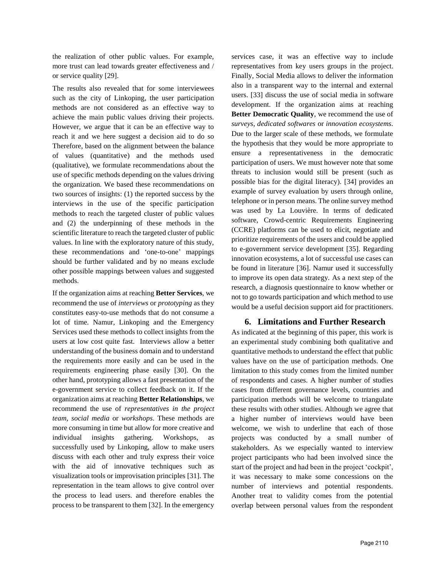the realization of other public values. For example, more trust can lead towards greater effectiveness and / or service quality [29].

The results also revealed that for some interviewees such as the city of Linkoping, the user participation methods are not considered as an effective way to achieve the main public values driving their projects. However, we argue that it can be an effective way to reach it and we here suggest a decision aid to do so Therefore, based on the alignment between the balance of values (quantitative) and the methods used (qualitative), we formulate recommendations about the use of specific methods depending on the values driving the organization. We based these recommendations on two sources of insights: (1) the reported success by the interviews in the use of the specific participation methods to reach the targeted cluster of public values and (2) the underpinning of these methods in the scientific literature to reach the targeted cluster of public values. In line with the exploratory nature of this study, these recommendations and 'one-to-one' mappings should be further validated and by no means exclude other possible mappings between values and suggested methods.

If the organization aims at reaching **Better Services**, we recommend the use of *interviews* or *prototyping* as they constitutes easy-to-use methods that do not consume a lot of time. Namur, Linkoping and the Emergency Services used these methods to collect insights from the users at low cost quite fast. Interviews allow a better understanding of the business domain and to understand the requirements more easily and can be used in the requirements engineering phase easily [30]. On the other hand, prototyping allows a fast presentation of the e-government service to collect feedback on it. If the organization aims at reaching **Better Relationships**, we recommend the use of *representatives in the project team*, *social media* or *workshops*. These methods are more consuming in time but allow for more creative and individual insights gathering. Workshops, as successfully used by Linkoping, allow to make users discuss with each other and truly express their voice with the aid of innovative techniques such as visualization tools or improvisation principles [31]. The representation in the team allows to give control over the process to lead users. and therefore enables the process to be transparent to them [32]. In the emergency services case, it was an effective way to include representatives from key users groups in the project. Finally, Social Media allows to deliver the information also in a transparent way to the internal and external users. [33] discuss the use of social media in software development. If the organization aims at reaching **Better Democratic Quality**, we recommend the use of *surveys*, *dedicated softwares* or *innovation ecosystems*. Due to the larger scale of these methods, we formulate the hypothesis that they would be more appropriate to ensure a representativeness in the democratic participation of users. We must however note that some threats to inclusion would still be present (such as possible bias for the digital literacy). [34] provides an example of survey evaluation by users through online, telephone or in person means. The online survey method was used by La Louvière. In terms of dedicated software, Crowd-centric Requirements Engineering (CCRE) platforms can be used to elicit, negotiate and prioritize requirements of the users and could be applied to e-government service development [35]. Regarding innovation ecosystems, a lot of successful use cases can be found in literature [36]. Namur used it successfully to improve its open data strategy. As a next step of the research, a diagnosis questionnaire to know whether or not to go towards participation and which method to use would be a useful decision support aid for practitioners.

# **6. Limitations and Further Research**

As indicated at the beginning of this paper, this work is an experimental study combining both qualitative and quantitative methods to understand the effect that public values have on the use of participation methods. One limitation to this study comes from the limited number of respondents and cases. A higher number of studies cases from different governance levels, countries and participation methods will be welcome to triangulate these results with other studies. Although we agree that a higher number of interviews would have been welcome, we wish to underline that each of those projects was conducted by a small number of stakeholders. As we especially wanted to interview project participants who had been involved since the start of the project and had been in the project 'cockpit', it was necessary to make some concessions on the number of interviews and potential respondents. Another treat to validity comes from the potential overlap between personal values from the respondent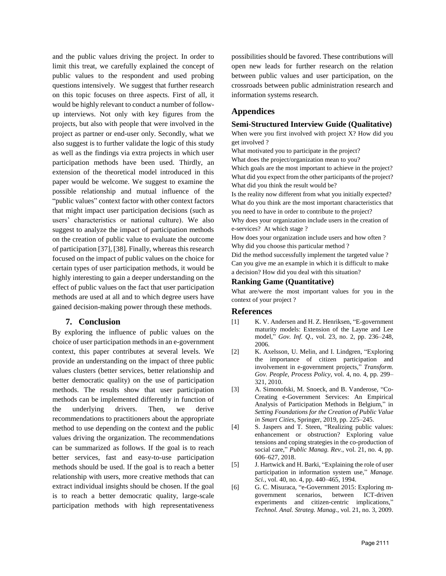and the public values driving the project. In order to limit this treat, we carefully explained the concept of public values to the respondent and used probing questions intensively. We suggest that further research on this topic focuses on three aspects. First of all, it would be highly relevant to conduct a number of followup interviews. Not only with key figures from the projects, but also with people that were involved in the project as partner or end-user only. Secondly, what we also suggest is to further validate the logic of this study as well as the findings via extra projects in which user participation methods have been used. Thirdly, an extension of the theoretical model introduced in this paper would be welcome. We suggest to examine the possible relationship and mutual influence of the "public values" context factor with other context factors that might impact user participation decisions (such as users' characteristics or national culture). We also suggest to analyze the impact of participation methods on the creation of public value to evaluate the outcome of participation [37], [38]. Finally, whereas this research focused on the impact of public values on the choice for certain types of user participation methods, it would be highly interesting to gain a deeper understanding on the effect of public values on the fact that user participation methods are used at all and to which degree users have gained decision-making power through these methods.

# **7. Conclusion**

By exploring the influence of public values on the choice of user participation methods in an e-government context, this paper contributes at several levels. We provide an understanding on the impact of three public values clusters (better services, better relationship and better democratic quality) on the use of participation methods. The results show that user participation methods can be implemented differently in function of the underlying drivers. Then, we derive recommendations to practitioners about the appropriate method to use depending on the context and the public values driving the organization. The recommendations can be summarized as follows. If the goal is to reach better services, fast and easy-to-use participation methods should be used. If the goal is to reach a better relationship with users, more creative methods that can extract individual insights should be chosen. If the goal is to reach a better democratic quality, large-scale participation methods with high representativeness

possibilities should be favored. These contributions will open new leads for further research on the relation between public values and user participation, on the crossroads between public administration research and information systems research.

# **Appendices**

# **Semi-Structured Interview Guide (Qualitative)**

When were you first involved with project X? How did you get involved ?

What motivated you to participate in the project?

What does the project/organization mean to you?

Which goals are the most important to achieve in the project? What did you expect from the other participants of the project? What did you think the result would be?

Is the reality now different from what you initially expected? What do you think are the most important characteristics that you need to have in order to contribute to the project?

Why does your organization include users in the creation of e-services? At which stage ?

How does your organization include users and how often ? Why did you choose this particular method ?

Did the method successfully implement the targeted value ? Can you give me an example in which it is difficult to make a decision? How did you deal with this situation?

### **Ranking Game (Quantitative)**

What are/were the most important values for you in the context of your project ?

### **References**

- [1] K. V. Andersen and H. Z. Henriksen, "E-government maturity models: Extension of the Layne and Lee model," *Gov. Inf. Q.*, vol. 23, no. 2, pp. 236–248, 2006.
- [2] K. Axelsson, U. Melin, and I. Lindgren, "Exploring the importance of citizen participation and involvement in e-government projects," *Transform. Gov. People, Process Policy*, vol. 4, no. 4, pp. 299– 321, 2010.
- [3] A. Simonofski, M. Snoeck, and B. Vanderose, "Co-Creating e-Government Services: An Empirical Analysis of Participation Methods in Belgium," in *Setting Foundations for the Creation of Public Value in Smart Cities*, Springer, 2019, pp. 225–245.
- [4] S. Jaspers and T. Steen, "Realizing public values: enhancement or obstruction? Exploring value tensions and coping strategies in the co-production of social care," *Public Manag. Rev.*, vol. 21, no. 4, pp. 606–627, 2018.
- [5] J. Hartwick and H. Barki, "Explaining the role of user participation in information system use," *Manage. Sci.*, vol. 40, no. 4, pp. 440–465, 1994.
- [6] G. C. Misuraca, "e-Government 2015: Exploring mgovernment scenarios, between ICT-driven experiments and citizen-centric implications," *Technol. Anal. Strateg. Manag.*, vol. 21, no. 3, 2009.